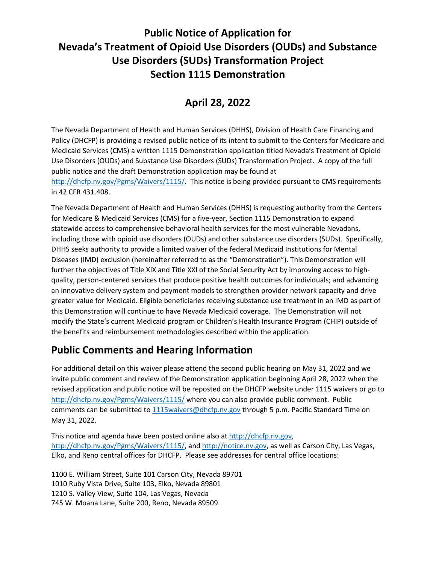## **Public Notice of Application for Nevada's Treatment of Opioid Use Disorders (OUDs) and Substance Use Disorders (SUDs) Transformation Project Section 1115 Demonstration**

## **April 28, 2022**

The Nevada Department of Health and Human Services (DHHS), Division of Health Care Financing and Policy (DHCFP) is providing a revised public notice of its intent to submit to the Centers for Medicare and Medicaid Services (CMS) a written 1115 Demonstration application titled Nevada's Treatment of Opioid Use Disorders (OUDs) and Substance Use Disorders (SUDs) Transformation Project. A copy of the full public notice and the draft Demonstration application may be found at [http://dhcfp.nv.gov/Pgms/Waivers/1115/.](http://dhcfp.nv.gov/Pgms/Waivers/1115/) This notice is being provided pursuant to CMS requirements in 42 CFR 431.408.

The Nevada Department of Health and Human Services (DHHS) is requesting authority from the Centers for Medicare & Medicaid Services (CMS) for a five-year, Section 1115 Demonstration to expand statewide access to comprehensive behavioral health services for the most vulnerable Nevadans, including those with opioid use disorders (OUDs) and other substance use disorders (SUDs). Specifically, DHHS seeks authority to provide a limited waiver of the federal Medicaid Institutions for Mental Diseases (IMD) exclusion (hereinafter referred to as the "Demonstration"). This Demonstration will further the objectives of Title XIX and Title XXI of the Social Security Act by improving access to highquality, person-centered services that produce positive health outcomes for individuals; and advancing an innovative delivery system and payment models to strengthen provider network capacity and drive greater value for Medicaid. Eligible beneficiaries receiving substance use treatment in an IMD as part of this Demonstration will continue to have Nevada Medicaid coverage. The Demonstration will not modify the State's current Medicaid program or Children's Health Insurance Program (CHIP) outside of the benefits and reimbursement methodologies described within the application.

## **Public Comments and Hearing Information**

For additional detail on this waiver please attend the second public hearing on May 31, 2022 and we invite public comment and review of the Demonstration application beginning April 28, 2022 when the revised application and public notice will be reposted on the DHCFP website under 1115 waivers or go to <http://dhcfp.nv.gov/Pgms/Waivers/1115/> where you can also provide public comment. Public comments can be submitted to [1115waivers@dhcfp.nv.gov](mailto:1115waivers@dhcfp.nv.gov) through 5 p.m. Pacific Standard Time on May 31, 2022.

This notice and agenda have been posted online also at [http://dhcfp.nv.gov,](http://dhcfp.nv.gov/) [http://dhcfp.nv.gov/Pgms/Waivers/1115/,](http://dhcfp.nv.gov/Pgms/Waivers/1115/) and [http://notice.nv.gov,](http://notice.nv.gov/) as well as Carson City, Las Vegas, Elko, and Reno central offices for DHCFP. Please see addresses for central office locations:

1100 E. William Street, Suite 101 Carson City, Nevada 89701 1010 Ruby Vista Drive, Suite 103, Elko, Nevada 89801 1210 S. Valley View, Suite 104, Las Vegas, Nevada 745 W. Moana Lane, Suite 200, Reno, Nevada 89509